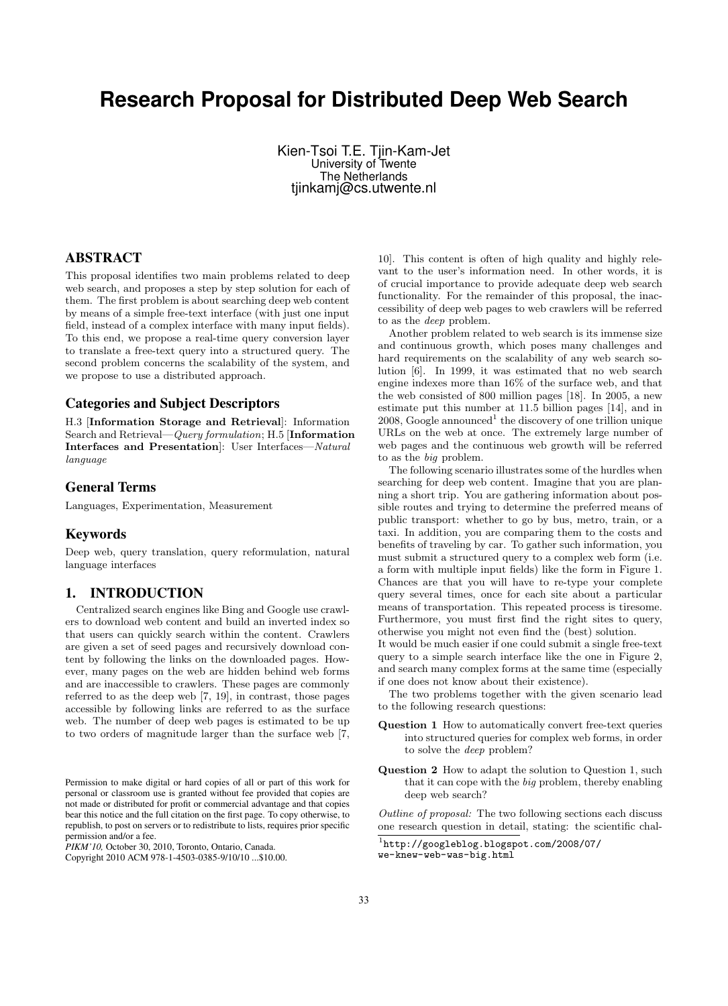# **Research Proposal for Distributed Deep Web Search**

Kien-Tsoi T.E. Tjin-Kam-Jet University of Twente The Netherlands tjinkamj@cs.utwente.nl

## ABSTRACT

This proposal identifies two main problems related to deep web search, and proposes a step by step solution for each of them. The first problem is about searching deep web content by means of a simple free-text interface (with just one input field, instead of a complex interface with many input fields). To this end, we propose a real-time query conversion layer to translate a free-text query into a structured query. The second problem concerns the scalability of the system, and we propose to use a distributed approach.

#### Categories and Subject Descriptors

H.3 [Information Storage and Retrieval]: Information Search and Retrieval—*Query formulation*; H.5 [Information Interfaces and Presentation]: User Interfaces—Natural language

#### General Terms

Languages, Experimentation, Measurement

#### Keywords

Deep web, query translation, query reformulation, natural language interfaces

#### 1. INTRODUCTION

Centralized search engines like Bing and Google use crawlers to download web content and build an inverted index so that users can quickly search within the content. Crawlers are given a set of seed pages and recursively download content by following the links on the downloaded pages. However, many pages on the web are hidden behind web forms and are inaccessible to crawlers. These pages are commonly referred to as the deep web [7, 19], in contrast, those pages accessible by following links are referred to as the surface web. The number of deep web pages is estimated to be up to two orders of magnitude larger than the surface web [7, 10]. This content is often of high quality and highly relevant to the user's information need. In other words, it is of crucial importance to provide adequate deep web search functionality. For the remainder of this proposal, the inaccessibility of deep web pages to web crawlers will be referred to as the deep problem.

Another problem related to web search is its immense size and continuous growth, which poses many challenges and hard requirements on the scalability of any web search solution [6]. In 1999, it was estimated that no web search engine indexes more than 16% of the surface web, and that the web consisted of 800 million pages [18]. In 2005, a new estimate put this number at 11.5 billion pages [14], and in  $2008$ , Google announced<sup>1</sup> the discovery of one trillion unique URLs on the web at once. The extremely large number of web pages and the continuous web growth will be referred to as the big problem.

The following scenario illustrates some of the hurdles when searching for deep web content. Imagine that you are planning a short trip. You are gathering information about possible routes and trying to determine the preferred means of public transport: whether to go by bus, metro, train, or a taxi. In addition, you are comparing them to the costs and benefits of traveling by car. To gather such information, you must submit a structured query to a complex web form (i.e. a form with multiple input fields) like the form in Figure 1. Chances are that you will have to re-type your complete query several times, once for each site about a particular means of transportation. This repeated process is tiresome. Furthermore, you must first find the right sites to query, otherwise you might not even find the (best) solution.

It would be much easier if one could submit a single free-text query to a simple search interface like the one in Figure 2, and search many complex forms at the same time (especially if one does not know about their existence).

The two problems together with the given scenario lead to the following research questions:

- Question 1 How to automatically convert free-text queries into structured queries for complex web forms, in order to solve the deep problem?
- Question 2 How to adapt the solution to Question 1, such that it can cope with the big problem, thereby enabling deep web search?

Outline of proposal: The two following sections each discuss one research question in detail, stating: the scientific chal-

Permission to make digital or hard copies of all or part of this work for personal or classroom use is granted without fee provided that copies are not made or distributed for profit or commercial advantage and that copies bear this notice and the full citation on the first page. To copy otherwise, to republish, to post on servers or to redistribute to lists, requires prior specific permission and/or a fee.

*PIKM'10,* October 30, 2010, Toronto, Ontario, Canada.

Copyright 2010 ACM 978-1-4503-0385-9/10/10 ...\$10.00.

<sup>1</sup> http://googleblog.blogspot.com/2008/07/ we-knew-web-was-big.html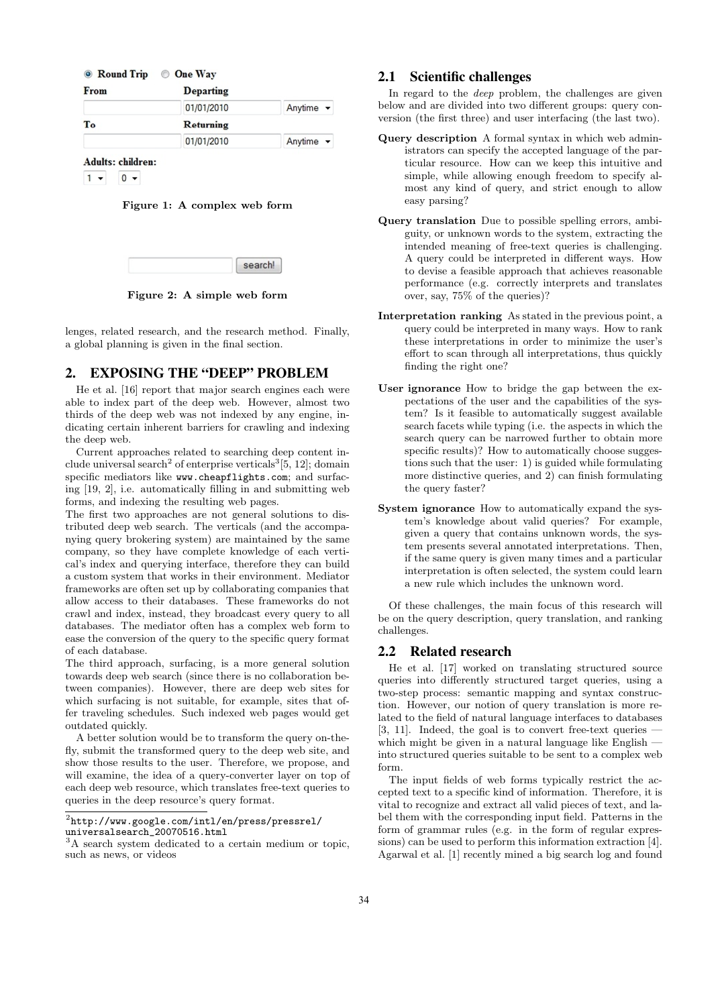| From | Departing  |                |
|------|------------|----------------|
|      | 01/01/2010 | Anytime -      |
| To   | Returning  |                |
|      | 01/01/2010 | Anytime $\sim$ |



| searchl |  |
|---------|--|
|         |  |

Figure 2: A simple web form

lenges, related research, and the research method. Finally, a global planning is given in the final section.

## 2. EXPOSING THE "DEEP" PROBLEM

He et al. [16] report that major search engines each were able to index part of the deep web. However, almost two thirds of the deep web was not indexed by any engine, indicating certain inherent barriers for crawling and indexing the deep web.

Current approaches related to searching deep content include universal search<sup>2</sup> of enterprise verticals<sup>3</sup>[5, 12]; domain specific mediators like www.cheapflights.com; and surfacing [19, 2], i.e. automatically filling in and submitting web forms, and indexing the resulting web pages.

The first two approaches are not general solutions to distributed deep web search. The verticals (and the accompanying query brokering system) are maintained by the same company, so they have complete knowledge of each vertical's index and querying interface, therefore they can build a custom system that works in their environment. Mediator frameworks are often set up by collaborating companies that allow access to their databases. These frameworks do not crawl and index, instead, they broadcast every query to all databases. The mediator often has a complex web form to ease the conversion of the query to the specific query format of each database.

The third approach, surfacing, is a more general solution towards deep web search (since there is no collaboration between companies). However, there are deep web sites for which surfacing is not suitable, for example, sites that offer traveling schedules. Such indexed web pages would get outdated quickly.

A better solution would be to transform the query on-thefly, submit the transformed query to the deep web site, and show those results to the user. Therefore, we propose, and will examine, the idea of a query-converter layer on top of each deep web resource, which translates free-text queries to queries in the deep resource's query format.

# 2.1 Scientific challenges

In regard to the deep problem, the challenges are given below and are divided into two different groups: query conversion (the first three) and user interfacing (the last two).

- Query description A formal syntax in which web administrators can specify the accepted language of the particular resource. How can we keep this intuitive and simple, while allowing enough freedom to specify almost any kind of query, and strict enough to allow easy parsing?
- Query translation Due to possible spelling errors, ambiguity, or unknown words to the system, extracting the intended meaning of free-text queries is challenging. A query could be interpreted in different ways. How to devise a feasible approach that achieves reasonable performance (e.g. correctly interprets and translates over, say, 75% of the queries)?
- Interpretation ranking As stated in the previous point, a query could be interpreted in many ways. How to rank these interpretations in order to minimize the user's effort to scan through all interpretations, thus quickly finding the right one?
- User ignorance How to bridge the gap between the expectations of the user and the capabilities of the system? Is it feasible to automatically suggest available search facets while typing (i.e. the aspects in which the search query can be narrowed further to obtain more specific results)? How to automatically choose suggestions such that the user: 1) is guided while formulating more distinctive queries, and 2) can finish formulating the query faster?
- System ignorance How to automatically expand the system's knowledge about valid queries? For example, given a query that contains unknown words, the system presents several annotated interpretations. Then, if the same query is given many times and a particular interpretation is often selected, the system could learn a new rule which includes the unknown word.

Of these challenges, the main focus of this research will be on the query description, query translation, and ranking challenges.

# 2.2 Related research

He et al. [17] worked on translating structured source queries into differently structured target queries, using a two-step process: semantic mapping and syntax construction. However, our notion of query translation is more related to the field of natural language interfaces to databases [3, 11]. Indeed, the goal is to convert free-text queries which might be given in a natural language like English into structured queries suitable to be sent to a complex web form.

The input fields of web forms typically restrict the accepted text to a specific kind of information. Therefore, it is vital to recognize and extract all valid pieces of text, and label them with the corresponding input field. Patterns in the form of grammar rules (e.g. in the form of regular expressions) can be used to perform this information extraction [4]. Agarwal et al. [1] recently mined a big search log and found

 $^{2}$ http://www.google.com/intl/en/press/pressrel/ universalsearch\_20070516.html

<sup>3</sup>A search system dedicated to a certain medium or topic, such as news, or videos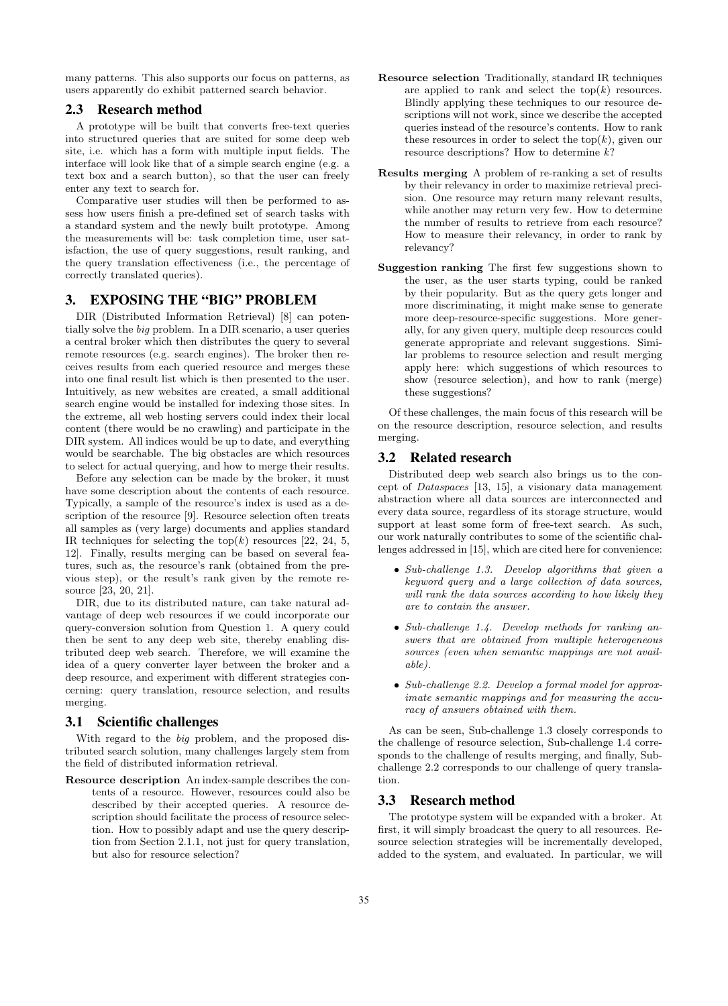many patterns. This also supports our focus on patterns, as users apparently do exhibit patterned search behavior.

#### 2.3 Research method

A prototype will be built that converts free-text queries into structured queries that are suited for some deep web site, i.e. which has a form with multiple input fields. The interface will look like that of a simple search engine (e.g. a text box and a search button), so that the user can freely enter any text to search for.

Comparative user studies will then be performed to assess how users finish a pre-defined set of search tasks with a standard system and the newly built prototype. Among the measurements will be: task completion time, user satisfaction, the use of query suggestions, result ranking, and the query translation effectiveness (i.e., the percentage of correctly translated queries).

# 3. EXPOSING THE "BIG" PROBLEM

DIR (Distributed Information Retrieval) [8] can potentially solve the big problem. In a DIR scenario, a user queries a central broker which then distributes the query to several remote resources (e.g. search engines). The broker then receives results from each queried resource and merges these into one final result list which is then presented to the user. Intuitively, as new websites are created, a small additional search engine would be installed for indexing those sites. In the extreme, all web hosting servers could index their local content (there would be no crawling) and participate in the DIR system. All indices would be up to date, and everything would be searchable. The big obstacles are which resources to select for actual querying, and how to merge their results.

Before any selection can be made by the broker, it must have some description about the contents of each resource. Typically, a sample of the resource's index is used as a description of the resource [9]. Resource selection often treats all samples as (very large) documents and applies standard IR techniques for selecting the top( $k$ ) resources [22, 24, 5, 12]. Finally, results merging can be based on several features, such as, the resource's rank (obtained from the previous step), or the result's rank given by the remote resource [23, 20, 21].

DIR, due to its distributed nature, can take natural advantage of deep web resources if we could incorporate our query-conversion solution from Question 1. A query could then be sent to any deep web site, thereby enabling distributed deep web search. Therefore, we will examine the idea of a query converter layer between the broker and a deep resource, and experiment with different strategies concerning: query translation, resource selection, and results merging.

#### 3.1 Scientific challenges

With regard to the big problem, and the proposed distributed search solution, many challenges largely stem from the field of distributed information retrieval.

Resource description An index-sample describes the contents of a resource. However, resources could also be described by their accepted queries. A resource description should facilitate the process of resource selection. How to possibly adapt and use the query description from Section 2.1.1, not just for query translation, but also for resource selection?

- Resource selection Traditionally, standard IR techniques are applied to rank and select the  $top(k)$  resources. Blindly applying these techniques to our resource descriptions will not work, since we describe the accepted queries instead of the resource's contents. How to rank these resources in order to select the top $(k)$ , given our resource descriptions? How to determine k?
- Results merging A problem of re-ranking a set of results by their relevancy in order to maximize retrieval precision. One resource may return many relevant results, while another may return very few. How to determine the number of results to retrieve from each resource? How to measure their relevancy, in order to rank by relevancy?
- Suggestion ranking The first few suggestions shown to the user, as the user starts typing, could be ranked by their popularity. But as the query gets longer and more discriminating, it might make sense to generate more deep-resource-specific suggestions. More generally, for any given query, multiple deep resources could generate appropriate and relevant suggestions. Similar problems to resource selection and result merging apply here: which suggestions of which resources to show (resource selection), and how to rank (merge) these suggestions?

Of these challenges, the main focus of this research will be on the resource description, resource selection, and results merging.

#### 3.2 Related research

Distributed deep web search also brings us to the concept of Dataspaces [13, 15], a visionary data management abstraction where all data sources are interconnected and every data source, regardless of its storage structure, would support at least some form of free-text search. As such, our work naturally contributes to some of the scientific challenges addressed in [15], which are cited here for convenience:

- Sub-challenge 1.3. Develop algorithms that given a keyword query and a large collection of data sources, will rank the data sources according to how likely they are to contain the answer.
- Sub-challenge 1.4. Develop methods for ranking answers that are obtained from multiple heterogeneous sources (even when semantic mappings are not available).
- Sub-challenge 2.2. Develop a formal model for approximate semantic mappings and for measuring the accuracy of answers obtained with them.

As can be seen, Sub-challenge 1.3 closely corresponds to the challenge of resource selection, Sub-challenge 1.4 corresponds to the challenge of results merging, and finally, Subchallenge 2.2 corresponds to our challenge of query translation.

#### 3.3 Research method

The prototype system will be expanded with a broker. At first, it will simply broadcast the query to all resources. Resource selection strategies will be incrementally developed, added to the system, and evaluated. In particular, we will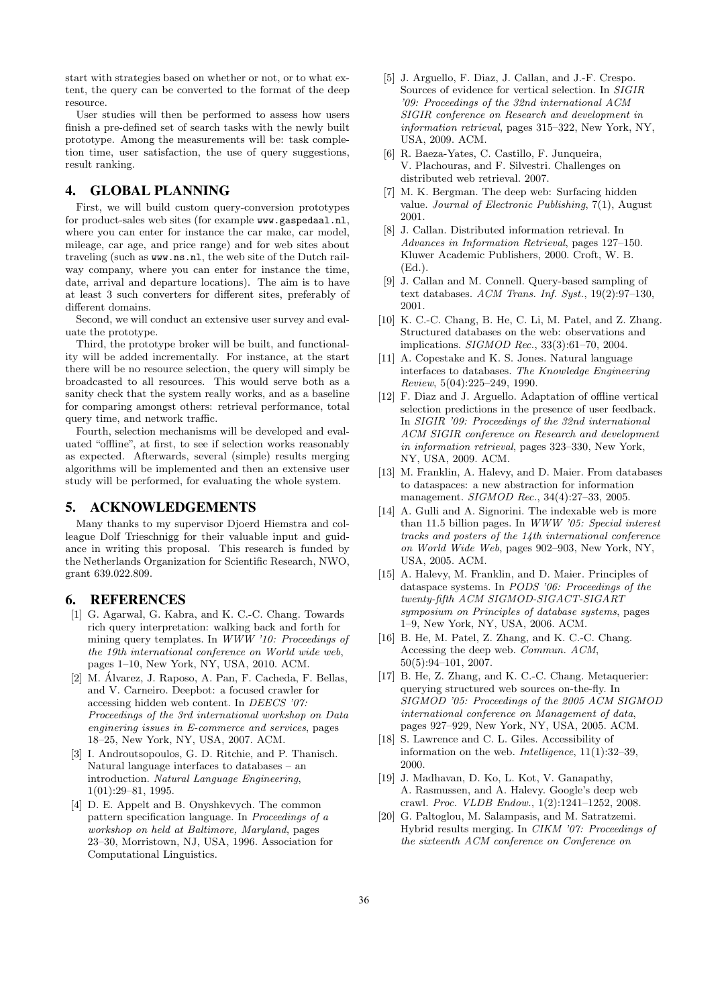start with strategies based on whether or not, or to what extent, the query can be converted to the format of the deep resource.

User studies will then be performed to assess how users finish a pre-defined set of search tasks with the newly built prototype. Among the measurements will be: task completion time, user satisfaction, the use of query suggestions, result ranking.

## 4. GLOBAL PLANNING

First, we will build custom query-conversion prototypes for product-sales web sites (for example www.gaspedaal.nl, where you can enter for instance the car make, car model, mileage, car age, and price range) and for web sites about traveling (such as www.ns.nl, the web site of the Dutch railway company, where you can enter for instance the time, date, arrival and departure locations). The aim is to have at least 3 such converters for different sites, preferably of different domains.

Second, we will conduct an extensive user survey and evaluate the prototype.

Third, the prototype broker will be built, and functionality will be added incrementally. For instance, at the start there will be no resource selection, the query will simply be broadcasted to all resources. This would serve both as a sanity check that the system really works, and as a baseline for comparing amongst others: retrieval performance, total query time, and network traffic.

Fourth, selection mechanisms will be developed and evaluated "offline", at first, to see if selection works reasonably as expected. Afterwards, several (simple) results merging algorithms will be implemented and then an extensive user study will be performed, for evaluating the whole system.

## 5. ACKNOWLEDGEMENTS

Many thanks to my supervisor Djoerd Hiemstra and colleague Dolf Trieschnigg for their valuable input and guidance in writing this proposal. This research is funded by the Netherlands Organization for Scientific Research, NWO, grant 639.022.809.

## 6. REFERENCES

- [1] G. Agarwal, G. Kabra, and K. C.-C. Chang. Towards rich query interpretation: walking back and forth for mining query templates. In WWW '10: Proceedings of the 19th international conference on World wide web, pages 1–10, New York, NY, USA, 2010. ACM.
- [2] M. Alvarez, J. Raposo, A. Pan, F. Cacheda, F. Bellas, ´ and V. Carneiro. Deepbot: a focused crawler for accessing hidden web content. In DEECS '07: Proceedings of the 3rd international workshop on Data enginering issues in E-commerce and services, pages 18–25, New York, NY, USA, 2007. ACM.
- [3] I. Androutsopoulos, G. D. Ritchie, and P. Thanisch. Natural language interfaces to databases – an introduction. Natural Language Engineering, 1(01):29–81, 1995.
- [4] D. E. Appelt and B. Onyshkevych. The common pattern specification language. In Proceedings of a workshop on held at Baltimore, Maryland, pages 23–30, Morristown, NJ, USA, 1996. Association for Computational Linguistics.
- [5] J. Arguello, F. Diaz, J. Callan, and J.-F. Crespo. Sources of evidence for vertical selection. In SIGIR '09: Proceedings of the 32nd international ACM SIGIR conference on Research and development in information retrieval, pages 315–322, New York, NY, USA, 2009. ACM.
- [6] R. Baeza-Yates, C. Castillo, F. Junqueira, V. Plachouras, and F. Silvestri. Challenges on distributed web retrieval. 2007.
- [7] M. K. Bergman. The deep web: Surfacing hidden value. Journal of Electronic Publishing, 7(1), August 2001.
- [8] J. Callan. Distributed information retrieval. In Advances in Information Retrieval, pages 127–150. Kluwer Academic Publishers, 2000. Croft, W. B. (Ed.).
- [9] J. Callan and M. Connell. Query-based sampling of text databases. ACM Trans. Inf. Syst.,  $19(2):97-130$ , 2001.
- [10] K. C.-C. Chang, B. He, C. Li, M. Patel, and Z. Zhang. Structured databases on the web: observations and implications. SIGMOD Rec., 33(3):61–70, 2004.
- [11] A. Copestake and K. S. Jones. Natural language interfaces to databases. The Knowledge Engineering Review, 5(04):225–249, 1990.
- [12] F. Diaz and J. Arguello. Adaptation of offline vertical selection predictions in the presence of user feedback. In SIGIR '09: Proceedings of the 32nd international ACM SIGIR conference on Research and development in information retrieval, pages 323–330, New York, NY, USA, 2009. ACM.
- [13] M. Franklin, A. Halevy, and D. Maier. From databases to dataspaces: a new abstraction for information management. SIGMOD Rec., 34(4):27–33, 2005.
- [14] A. Gulli and A. Signorini. The indexable web is more than 11.5 billion pages. In WWW '05: Special interest tracks and posters of the 14th international conference on World Wide Web, pages 902–903, New York, NY, USA, 2005. ACM.
- [15] A. Halevy, M. Franklin, and D. Maier. Principles of dataspace systems. In PODS '06: Proceedings of the twenty-fifth ACM SIGMOD-SIGACT-SIGART symposium on Principles of database systems, pages 1–9, New York, NY, USA, 2006. ACM.
- [16] B. He, M. Patel, Z. Zhang, and K. C.-C. Chang. Accessing the deep web. Commun. ACM, 50(5):94–101, 2007.
- [17] B. He, Z. Zhang, and K. C.-C. Chang. Metaquerier: querying structured web sources on-the-fly. In SIGMOD '05: Proceedings of the 2005 ACM SIGMOD international conference on Management of data, pages 927–929, New York, NY, USA, 2005. ACM.
- [18] S. Lawrence and C. L. Giles. Accessibility of information on the web. *Intelligence*,  $11(1):32-39$ , 2000.
- [19] J. Madhavan, D. Ko, L. Kot, V. Ganapathy, A. Rasmussen, and A. Halevy. Google's deep web crawl. Proc. VLDB Endow., 1(2):1241–1252, 2008.
- [20] G. Paltoglou, M. Salampasis, and M. Satratzemi. Hybrid results merging. In CIKM '07: Proceedings of the sixteenth ACM conference on Conference on